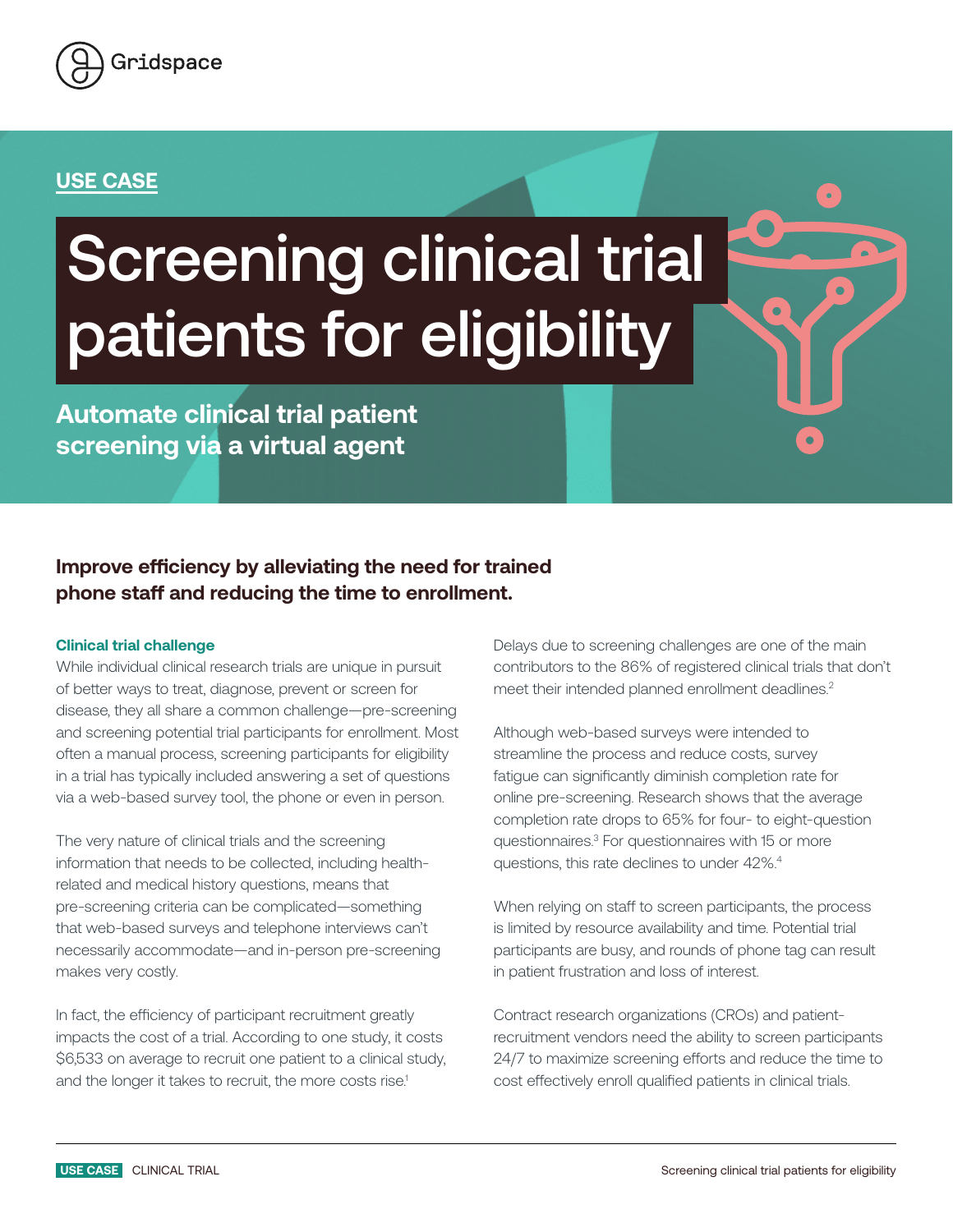

### **USE CASE**

# Screening clinical trial patients for eligibility

**Automate clinical trial patient screening via a virtual agent**

## **Improve efficiency by alleviating the need for trained phone staff and reducing the time to enrollment.**

#### **Clinical trial challenge**

While individual clinical research trials are unique in pursuit of better ways to treat, diagnose, prevent or screen for disease, they all share a common challenge—pre-screening and screening potential trial participants for enrollment. Most often a manual process, screening participants for eligibility in a trial has typically included answering a set of questions via a web-based survey tool, the phone or even in person.

The very nature of clinical trials and the screening information that needs to be collected, including healthrelated and medical history questions, means that pre-screening criteria can be complicated—something that web-based surveys and telephone interviews can't necessarily accommodate—and in-person pre-screening makes very costly.

In fact, the efficiency of participant recruitment greatly impacts the cost of a trial. According to one study, it costs \$6,533 on average to recruit one patient to a clinical study, and the longer it takes to recruit, the more costs rise.<sup>1</sup>

Delays due to screening challenges are one of the main contributors to the 86% of registered clinical trials that don't meet their intended planned enrollment deadlines.<sup>2</sup>

Although web-based surveys were intended to streamline the process and reduce costs, survey fatigue can significantly diminish completion rate for online pre-screening. Research shows that the average completion rate drops to 65% for four- to eight-question questionnaires.3 For questionnaires with 15 or more questions, this rate declines to under 42%.4

When relying on staff to screen participants, the process is limited by resource availability and time. Potential trial participants are busy, and rounds of phone tag can result in patient frustration and loss of interest.

Contract research organizations (CROs) and patientrecruitment vendors need the ability to screen participants 24/7 to maximize screening efforts and reduce the time to cost effectively enroll qualified patients in clinical trials.